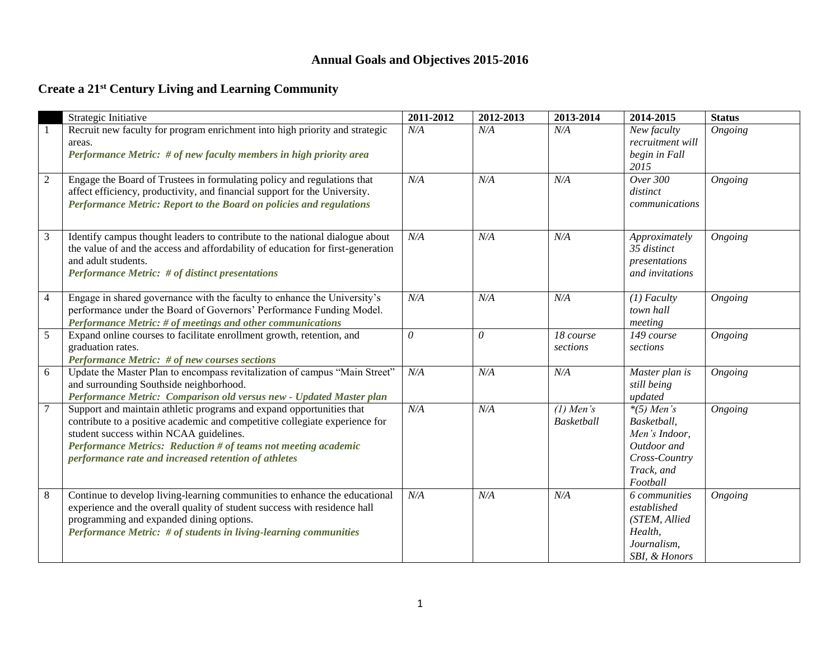## **Annual Goals and Objectives 2015-2016**

## **Create a 21st Century Living and Learning Community**

|                | Strategic Initiative                                                                                                                                                                                                                                                                                                     | 2011-2012 | 2012-2013 | 2013-2014                        | 2014-2015                                                                                              | <b>Status</b> |
|----------------|--------------------------------------------------------------------------------------------------------------------------------------------------------------------------------------------------------------------------------------------------------------------------------------------------------------------------|-----------|-----------|----------------------------------|--------------------------------------------------------------------------------------------------------|---------------|
|                | Recruit new faculty for program enrichment into high priority and strategic<br>areas.<br>Performance Metric: # of new faculty members in high priority area                                                                                                                                                              | N/A       | N/A       | N/A                              | New faculty<br>recruitment will<br>begin in Fall<br>2015                                               | Ongoing       |
| $\overline{c}$ | Engage the Board of Trustees in formulating policy and regulations that<br>affect efficiency, productivity, and financial support for the University.<br>Performance Metric: Report to the Board on policies and regulations                                                                                             | N/A       | N/A       | N/A                              | Over 300<br>distinct<br>communications                                                                 | Ongoing       |
| 3              | Identify campus thought leaders to contribute to the national dialogue about<br>the value of and the access and affordability of education for first-generation<br>and adult students.<br><b>Performance Metric: # of distinct presentations</b>                                                                         | N/A       | N/A       | N/A                              | Approximately<br>35 distinct<br>presentations<br>and invitations                                       | Ongoing       |
| $\overline{4}$ | Engage in shared governance with the faculty to enhance the University's<br>performance under the Board of Governors' Performance Funding Model.<br>Performance Metric: # of meetings and other communications                                                                                                           | N/A       | N/A       | N/A                              | $(1)$ Faculty<br>town hall<br>meeting                                                                  | Ongoing       |
| 5              | Expand online courses to facilitate enrollment growth, retention, and<br>graduation rates.<br><b>Performance Metric: # of new courses sections</b>                                                                                                                                                                       | $\theta$  | $\theta$  | 18 course<br>sections            | 149 course<br>sections                                                                                 | Ongoing       |
| 6              | Update the Master Plan to encompass revitalization of campus "Main Street"<br>and surrounding Southside neighborhood.<br>Performance Metric: Comparison old versus new - Updated Master plan                                                                                                                             | N/A       | N/A       | N/A                              | Master plan is<br>still being<br>updated                                                               | Ongoing       |
| $\overline{7}$ | Support and maintain athletic programs and expand opportunities that<br>contribute to a positive academic and competitive collegiate experience for<br>student success within NCAA guidelines.<br>Performance Metrics: Reduction # of teams not meeting academic<br>performance rate and increased retention of athletes | N/A       | N/A       | $(1)$ Men's<br><b>Basketball</b> | $*(5)$ Men's<br>Basketball,<br>Men's Indoor,<br>Outdoor and<br>Cross-Country<br>Track, and<br>Football | Ongoing       |
| 8              | Continue to develop living-learning communities to enhance the educational<br>experience and the overall quality of student success with residence hall<br>programming and expanded dining options.<br>Performance Metric: # of students in living-learning communities                                                  | N/A       | N/A       | N/A                              | 6 communities<br>established<br>(STEM, Allied<br>Health,<br>Journalism,<br>SBI, & Honors               | Ongoing       |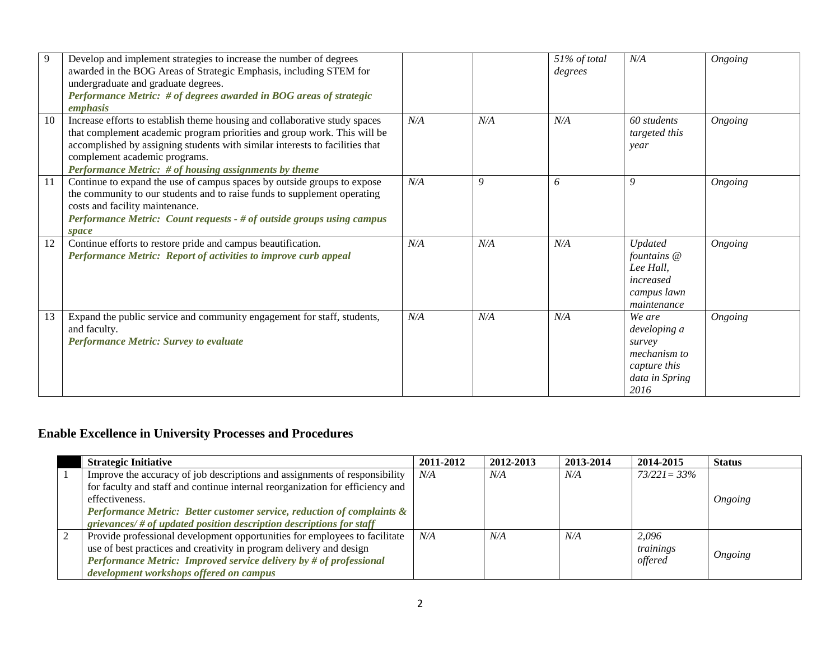| 9  | Develop and implement strategies to increase the number of degrees<br>awarded in the BOG Areas of Strategic Emphasis, including STEM for<br>undergraduate and graduate degrees.<br>Performance Metric: # of degrees awarded in BOG areas of strategic<br>emphasis                                                                |     |     | 51% of total<br>degrees | N/A                                                                                        | Ongoing        |
|----|----------------------------------------------------------------------------------------------------------------------------------------------------------------------------------------------------------------------------------------------------------------------------------------------------------------------------------|-----|-----|-------------------------|--------------------------------------------------------------------------------------------|----------------|
| 10 | Increase efforts to establish theme housing and collaborative study spaces<br>that complement academic program priorities and group work. This will be<br>accomplished by assigning students with similar interests to facilities that<br>complement academic programs.<br>Performance Metric: # of housing assignments by theme | N/A | N/A | N/A                     | 60 students<br>targeted this<br>year                                                       | <b>Ongoing</b> |
| 11 | Continue to expand the use of campus spaces by outside groups to expose<br>the community to our students and to raise funds to supplement operating<br>costs and facility maintenance.<br>Performance Metric: Count requests - # of outside groups using campus<br><i>space</i>                                                  | N/A | 9   | 6                       | 9                                                                                          | Ongoing        |
| 12 | Continue efforts to restore pride and campus beautification.<br>Performance Metric: Report of activities to improve curb appeal                                                                                                                                                                                                  | N/A | N/A | N/A                     | Updated<br>fountains @<br>Lee Hall,<br>increased<br>campus lawn<br>maintenance             | Ongoing        |
| 13 | Expand the public service and community engagement for staff, students,<br>and faculty.<br><b>Performance Metric: Survey to evaluate</b>                                                                                                                                                                                         | N/A | N/A | N/A                     | We are<br>developing a<br>survey<br>mechanism to<br>capture this<br>data in Spring<br>2016 | Ongoing        |

# **Enable Excellence in University Processes and Procedures**

|  | <b>Strategic Initiative</b>                                                   | 2011-2012 | 2012-2013 | 2013-2014 | 2014-2015       | <b>Status</b> |
|--|-------------------------------------------------------------------------------|-----------|-----------|-----------|-----------------|---------------|
|  | Improve the accuracy of job descriptions and assignments of responsibility    | N/A       | N/A       | N/A       | $73/221 = 33\%$ |               |
|  | for faculty and staff and continue internal reorganization for efficiency and |           |           |           |                 |               |
|  | effectiveness.                                                                |           |           |           |                 | Ongoing       |
|  | Performance Metric: Better customer service, reduction of complaints &        |           |           |           |                 |               |
|  | $grie$ vances/ # of updated position description descriptions for staff       |           |           |           |                 |               |
|  | Provide professional development opportunities for employees to facilitate    | N/A       | N/A       | N/A       | 2,096           |               |
|  | use of best practices and creativity in program delivery and design           |           |           |           | trainings       |               |
|  | Performance Metric: Improved service delivery by # of professional            |           |           |           | offered         | Ongoing       |
|  | development workshops offered on campus                                       |           |           |           |                 |               |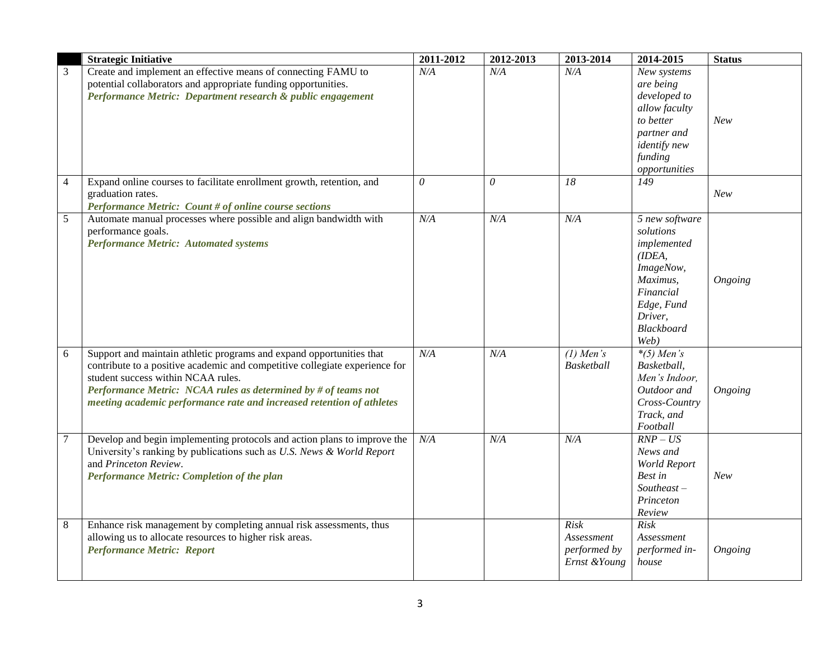|                | <b>Strategic Initiative</b>                                                                                                                                                                                                                                                                                                          | 2011-2012 | 2012-2013             | 2013-2014                                          | 2014-2015                                                                                                                                | <b>Status</b> |
|----------------|--------------------------------------------------------------------------------------------------------------------------------------------------------------------------------------------------------------------------------------------------------------------------------------------------------------------------------------|-----------|-----------------------|----------------------------------------------------|------------------------------------------------------------------------------------------------------------------------------------------|---------------|
| 3              | Create and implement an effective means of connecting FAMU to<br>potential collaborators and appropriate funding opportunities.<br>Performance Metric: Department research & public engagement                                                                                                                                       | N/A       | N/A                   | N/A                                                | New systems<br>are being<br>developed to<br>allow faculty<br>to better<br>partner and<br><i>identify new</i><br>funding<br>opportunities | New           |
| $\overline{4}$ | Expand online courses to facilitate enrollment growth, retention, and<br>graduation rates.<br><b>Performance Metric: Count # of online course sections</b>                                                                                                                                                                           | $\theta$  | $\boldsymbol{\theta}$ | 18                                                 | 149                                                                                                                                      | New           |
| 5              | Automate manual processes where possible and align bandwidth with<br>performance goals.<br><b>Performance Metric: Automated systems</b>                                                                                                                                                                                              | N/A       | N/A                   | N/A                                                | 5 new software<br>solutions<br>implemented<br>IDEA,<br>ImageNow,<br>Maximus,<br>Financial<br>Edge, Fund<br>Driver,<br>Blackboard<br>Web) | Ongoing       |
| 6              | Support and maintain athletic programs and expand opportunities that<br>contribute to a positive academic and competitive collegiate experience for<br>student success within NCAA rules.<br>Performance Metric: NCAA rules as determined by # of teams not<br>meeting academic performance rate and increased retention of athletes | N/A       | N/A                   | $(1)$ Men's<br>Basketball                          | $*(5)$ Men's<br>Basketball,<br>Men's Indoor,<br>Outdoor and<br>Cross-Country<br>Track, and<br>Football                                   | Ongoing       |
| $\tau$         | Develop and begin implementing protocols and action plans to improve the<br>University's ranking by publications such as U.S. News & World Report<br>and Princeton Review.<br>Performance Metric: Completion of the plan                                                                                                             | N/A       | N/A                   | N/A                                                | $RNP - US$<br>News and<br>World Report<br>Best in<br>$Southeast -$<br>Princeton<br>Review                                                | <b>New</b>    |
| $\,8\,$        | Enhance risk management by completing annual risk assessments, thus<br>allowing us to allocate resources to higher risk areas.<br><b>Performance Metric: Report</b>                                                                                                                                                                  |           |                       | Risk<br>Assessment<br>performed by<br>Ernst &Young | Risk<br>Assessment<br>performed in-<br>house                                                                                             | Ongoing       |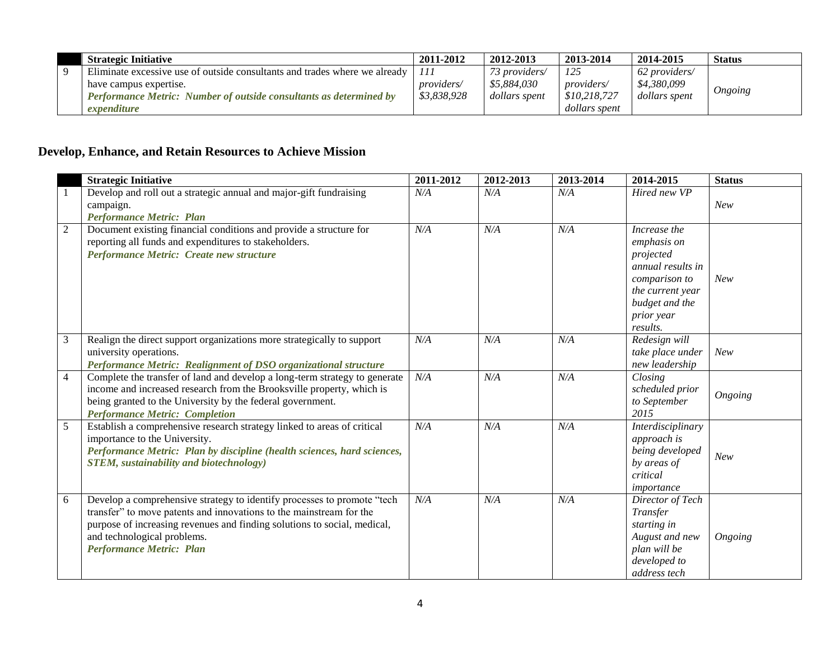| <b>Strategic Initiative</b>                                                | 2011-2012          | 2012-2013     | 2013-2014          | 2014-2015     | <b>Status</b> |
|----------------------------------------------------------------------------|--------------------|---------------|--------------------|---------------|---------------|
| Eliminate excessive use of outside consultants and trades where we already | 111                | 73 providers/ | 125                | 62 providers/ |               |
| have campus expertise.                                                     | <i>providers</i> / | \$5,884,030   | <i>providers</i> / | \$4,380,099   |               |
| <b>Performance Metric: Number of outside consultants as determined by</b>  | \$3.838.928        | dollars spent | \$10,218,727       | dollars spent | Ongoing       |
| expenditure                                                                |                    |               | dollars spent      |               |               |

## **Develop, Enhance, and Retain Resources to Achieve Mission**

|                | <b>Strategic Initiative</b>                                                                                                                                                                                                                                                                  | 2011-2012 | 2012-2013 | 2013-2014 | 2014-2015                                                                                                                                      | <b>Status</b> |
|----------------|----------------------------------------------------------------------------------------------------------------------------------------------------------------------------------------------------------------------------------------------------------------------------------------------|-----------|-----------|-----------|------------------------------------------------------------------------------------------------------------------------------------------------|---------------|
| 1              | Develop and roll out a strategic annual and major-gift fundraising<br>campaign.                                                                                                                                                                                                              | N/A       | N/A       | N/A       | Hired new VP                                                                                                                                   | <b>New</b>    |
|                | <b>Performance Metric: Plan</b>                                                                                                                                                                                                                                                              |           |           |           |                                                                                                                                                |               |
| $\overline{2}$ | Document existing financial conditions and provide a structure for<br>reporting all funds and expenditures to stakeholders.<br>Performance Metric: Create new structure                                                                                                                      | N/A       | N/A       | N/A       | Increase the<br>emphasis on<br>projected<br>annual results in<br>comparison to<br>the current year<br>budget and the<br>prior year<br>results. | <b>New</b>    |
| 3              | Realign the direct support organizations more strategically to support<br>university operations.<br>Performance Metric: Realignment of DSO organizational structure                                                                                                                          | N/A       | N/A       | N/A       | Redesign will<br>take place under<br>new leadership                                                                                            | <b>New</b>    |
| $\overline{4}$ | Complete the transfer of land and develop a long-term strategy to generate<br>income and increased research from the Brooksville property, which is<br>being granted to the University by the federal government.<br><b>Performance Metric: Completion</b>                                   | N/A       | N/A       | N/A       | Closing<br>scheduled prior<br>to September<br>2015                                                                                             | Ongoing       |
| 5              | Establish a comprehensive research strategy linked to areas of critical<br>importance to the University.<br>Performance Metric: Plan by discipline (health sciences, hard sciences,<br><b>STEM</b> , sustainability and biotechnology)                                                       | N/A       | N/A       | N/A       | Interdisciplinary<br>approach is<br>being developed<br>by areas of<br>critical<br>importance                                                   | New           |
| 6              | Develop a comprehensive strategy to identify processes to promote "tech<br>transfer" to move patents and innovations to the mainstream for the<br>purpose of increasing revenues and finding solutions to social, medical,<br>and technological problems.<br><b>Performance Metric: Plan</b> | N/A       | N/A       | N/A       | Director of Tech<br>Transfer<br>starting in<br>August and new<br>plan will be<br>developed to<br>address tech                                  | Ongoing       |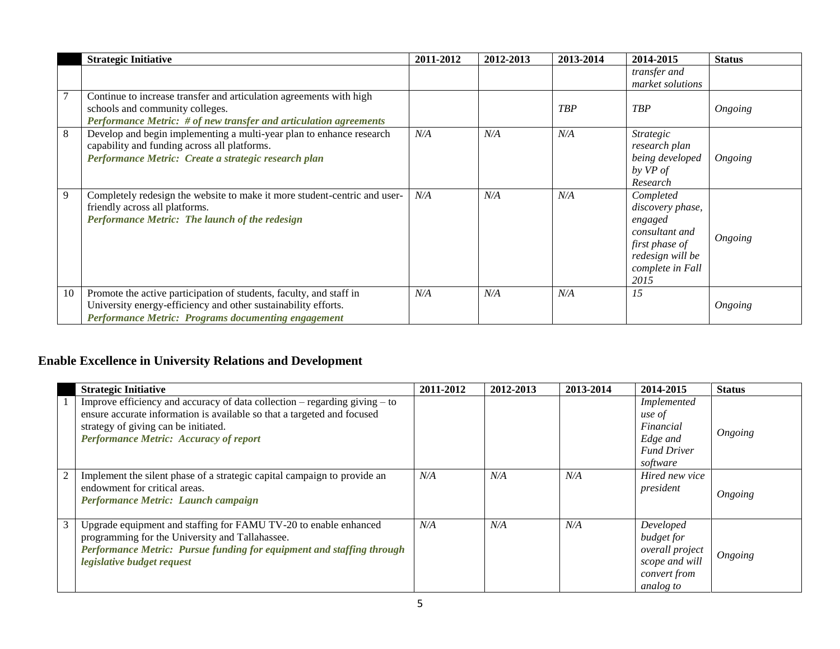|    | <b>Strategic Initiative</b>                                                                                                                                                                  | 2011-2012 | 2012-2013 | 2013-2014  | 2014-2015                                                                                                                    | <b>Status</b> |
|----|----------------------------------------------------------------------------------------------------------------------------------------------------------------------------------------------|-----------|-----------|------------|------------------------------------------------------------------------------------------------------------------------------|---------------|
|    |                                                                                                                                                                                              |           |           |            | transfer and<br>market solutions                                                                                             |               |
|    | Continue to increase transfer and articulation agreements with high<br>schools and community colleges.<br>Performance Metric: # of new transfer and articulation agreements                  |           |           | <b>TBP</b> | <b>TBP</b>                                                                                                                   | Ongoing       |
| 8  | Develop and begin implementing a multi-year plan to enhance research<br>capability and funding across all platforms.<br>Performance Metric: Create a strategic research plan                 | N/A       | N/A       | N/A        | <b>Strategic</b><br>research plan<br>being developed<br>by VP of<br>Research                                                 | Ongoing       |
| 9  | Completely redesign the website to make it more student-centric and user-<br>friendly across all platforms.<br>Performance Metric: The launch of the redesign                                | N/A       | N/A       | N/A        | Completed<br>discovery phase,<br>engaged<br>consultant and<br>first phase of<br>redesign will be<br>complete in Fall<br>2015 | Ongoing       |
| 10 | Promote the active participation of students, faculty, and staff in<br>University energy-efficiency and other sustainability efforts.<br>Performance Metric: Programs documenting engagement | N/A       | N/A       | N/A        | 15                                                                                                                           | Ongoing       |

# **Enable Excellence in University Relations and Development**

|   | <b>Strategic Initiative</b>                                                                                                                                                                                                                 | 2011-2012 | 2012-2013 | 2013-2014 | 2014-2015                                                                                 | <b>Status</b> |
|---|---------------------------------------------------------------------------------------------------------------------------------------------------------------------------------------------------------------------------------------------|-----------|-----------|-----------|-------------------------------------------------------------------------------------------|---------------|
|   | Improve efficiency and accuracy of data collection $-$ regarding giving $-$ to<br>ensure accurate information is available so that a targeted and focused<br>strategy of giving can be initiated.<br>Performance Metric: Accuracy of report |           |           |           | Implemented<br>use of<br>Financial<br>Edge and<br><b>Fund Driver</b><br>software          | Ongoing       |
| 2 | Implement the silent phase of a strategic capital campaign to provide an<br>endowment for critical areas.<br>Performance Metric: Launch campaign                                                                                            | N/A       | N/A       | N/A       | Hired new vice<br>president                                                               | Ongoing       |
| 3 | Upgrade equipment and staffing for FAMU TV-20 to enable enhanced<br>programming for the University and Tallahassee.<br>Performance Metric: Pursue funding for equipment and staffing through<br>legislative budget request                  | N/A       | N/A       | N/A       | Developed<br>budget for<br>overall project<br>scope and will<br>convert from<br>analog to | Ongoing       |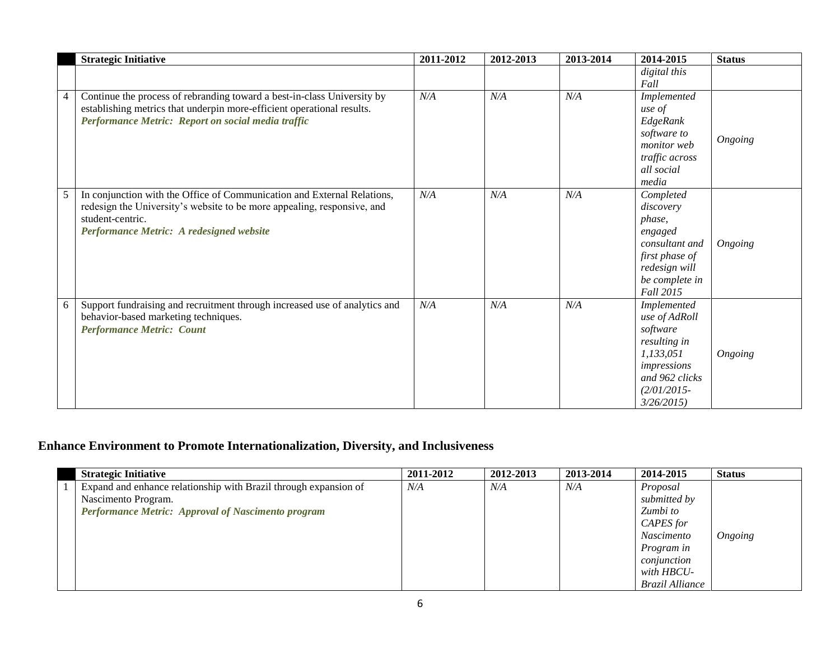|   | <b>Strategic Initiative</b>                                                                                                                                                                                        | 2011-2012 | 2012-2013 | 2013-2014 | 2014-2015                                                                                                                              | <b>Status</b> |
|---|--------------------------------------------------------------------------------------------------------------------------------------------------------------------------------------------------------------------|-----------|-----------|-----------|----------------------------------------------------------------------------------------------------------------------------------------|---------------|
|   |                                                                                                                                                                                                                    |           |           |           | digital this<br>Fall                                                                                                                   |               |
|   | Continue the process of rebranding toward a best-in-class University by<br>establishing metrics that underpin more-efficient operational results.<br>Performance Metric: Report on social media traffic            | N/A       | N/A       | N/A       | Implemented<br>use of<br>EdgeRank<br>software to<br>monitor web<br>traffic across<br>all social<br>media                               | Ongoing       |
| 5 | In conjunction with the Office of Communication and External Relations,<br>redesign the University's website to be more appealing, responsive, and<br>student-centric.<br>Performance Metric: A redesigned website | N/A       | N/A       | N/A       | Completed<br>discovery<br>phase,<br>engaged<br>consultant and<br>first phase of<br>redesign will<br>be complete in<br><b>Fall 2015</b> | Ongoing       |
| 6 | Support fundraising and recruitment through increased use of analytics and<br>behavior-based marketing techniques.<br><b>Performance Metric: Count</b>                                                             | N/A       | N/A       | N/A       | Implemented<br>use of AdRoll<br>software<br>resulting in<br>1,133,051<br>impressions<br>and 962 clicks<br>$(2/01/2015 -$<br>3/26/2015  | Ongoing       |

# **Enhance Environment to Promote Internationalization, Diversity, and Inclusiveness**

| <b>Strategic Initiative</b>                                      | 2011-2012 | 2012-2013 | 2013-2014 | 2014-2015              | <b>Status</b>  |
|------------------------------------------------------------------|-----------|-----------|-----------|------------------------|----------------|
| Expand and enhance relationship with Brazil through expansion of | N/A       | N/A       | N/A       | Proposal               |                |
| Nascimento Program.                                              |           |           |           | submitted by           |                |
| <b>Performance Metric: Approval of Nascimento program</b>        |           |           |           | Zumbi to               |                |
|                                                                  |           |           |           | CAPES for              |                |
|                                                                  |           |           |           | Nascimento             | <b>Ongoing</b> |
|                                                                  |           |           |           | Program in             |                |
|                                                                  |           |           |           | conjunction            |                |
|                                                                  |           |           |           | with HBCU-             |                |
|                                                                  |           |           |           | <b>Brazil Alliance</b> |                |